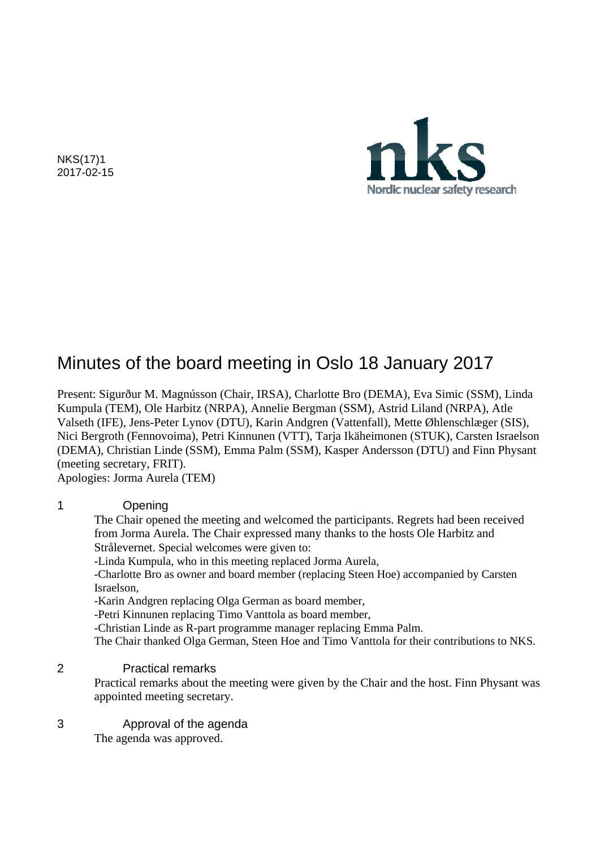NKS(17)1 2017-02-15



# Minutes of the board meeting in Oslo 18 January 2017

Present: Sigurður M. Magnússon (Chair, IRSA), Charlotte Bro (DEMA), Eva Simic (SSM), Linda Kumpula (TEM), Ole Harbitz (NRPA), Annelie Bergman (SSM), Astrid Liland (NRPA), Atle Valseth (IFE), Jens-Peter Lynov (DTU), Karin Andgren (Vattenfall), Mette Øhlenschlæger (SIS), Nici Bergroth (Fennovoima), Petri Kinnunen (VTT), Tarja Ikäheimonen (STUK), Carsten Israelson (DEMA), Christian Linde (SSM), Emma Palm (SSM), Kasper Andersson (DTU) and Finn Physant (meeting secretary, FRIT).

Apologies: Jorma Aurela (TEM)

#### 1 Opening

The Chair opened the meeting and welcomed the participants. Regrets had been received from Jorma Aurela. The Chair expressed many thanks to the hosts Ole Harbitz and Strålevernet. Special welcomes were given to:

-Linda Kumpula, who in this meeting replaced Jorma Aurela,

-Charlotte Bro as owner and board member (replacing Steen Hoe) accompanied by Carsten Israelson,

-Karin Andgren replacing Olga German as board member,

-Petri Kinnunen replacing Timo Vanttola as board member,

-Christian Linde as R-part programme manager replacing Emma Palm.

The Chair thanked Olga German, Steen Hoe and Timo Vanttola for their contributions to NKS.

#### 2 Practical remarks

Practical remarks about the meeting were given by the Chair and the host. Finn Physant was appointed meeting secretary.

#### 3 Approval of the agenda

The agenda was approved.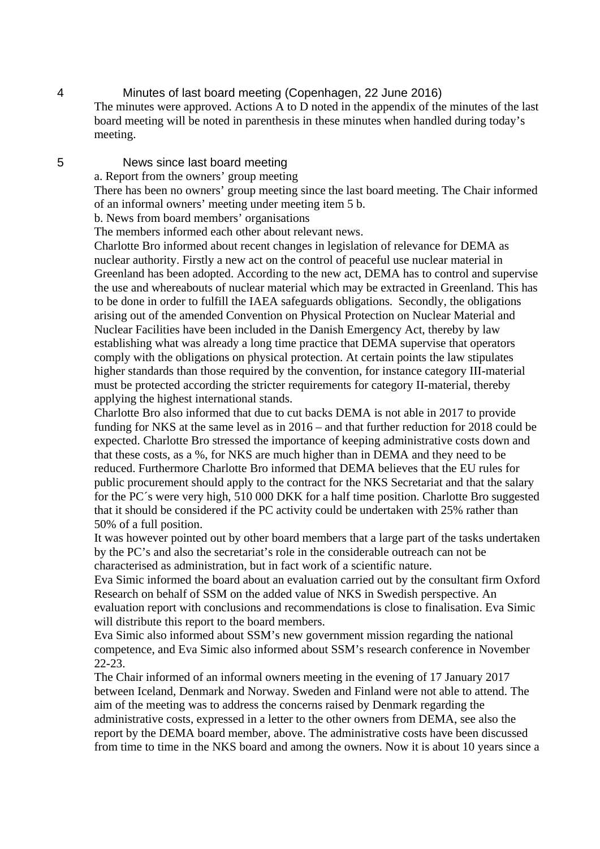4 Minutes of last board meeting (Copenhagen, 22 June 2016) The minutes were approved. Actions A to D noted in the appendix of the minutes of the last board meeting will be noted in parenthesis in these minutes when handled during today's meeting.

#### 5 News since last board meeting

a. Report from the owners' group meeting

There has been no owners' group meeting since the last board meeting. The Chair informed of an informal owners' meeting under meeting item 5 b.

b. News from board members' organisations

The members informed each other about relevant news.

Charlotte Bro informed about recent changes in legislation of relevance for DEMA as nuclear authority. Firstly a new act on the control of peaceful use nuclear material in Greenland has been adopted. According to the new act, DEMA has to control and supervise the use and whereabouts of nuclear material which may be extracted in Greenland. This has to be done in order to fulfill the IAEA safeguards obligations. Secondly, the obligations arising out of the amended Convention on Physical Protection on Nuclear Material and Nuclear Facilities have been included in the Danish Emergency Act, thereby by law establishing what was already a long time practice that DEMA supervise that operators comply with the obligations on physical protection. At certain points the law stipulates higher standards than those required by the convention, for instance category III-material must be protected according the stricter requirements for category II-material, thereby applying the highest international stands.

Charlotte Bro also informed that due to cut backs DEMA is not able in 2017 to provide funding for NKS at the same level as in 2016 – and that further reduction for 2018 could be expected. Charlotte Bro stressed the importance of keeping administrative costs down and that these costs, as a %, for NKS are much higher than in DEMA and they need to be reduced. Furthermore Charlotte Bro informed that DEMA believes that the EU rules for public procurement should apply to the contract for the NKS Secretariat and that the salary for the PC´s were very high, 510 000 DKK for a half time position. Charlotte Bro suggested that it should be considered if the PC activity could be undertaken with 25% rather than 50% of a full position.

It was however pointed out by other board members that a large part of the tasks undertaken by the PC's and also the secretariat's role in the considerable outreach can not be characterised as administration, but in fact work of a scientific nature.

Eva Simic informed the board about an evaluation carried out by the consultant firm Oxford Research on behalf of SSM on the added value of NKS in Swedish perspective. An evaluation report with conclusions and recommendations is close to finalisation. Eva Simic will distribute this report to the board members.

Eva Simic also informed about SSM's new government mission regarding the national competence, and Eva Simic also informed about SSM's research conference in November 22-23.

The Chair informed of an informal owners meeting in the evening of 17 January 2017 between Iceland, Denmark and Norway. Sweden and Finland were not able to attend. The aim of the meeting was to address the concerns raised by Denmark regarding the administrative costs, expressed in a letter to the other owners from DEMA, see also the report by the DEMA board member, above. The administrative costs have been discussed from time to time in the NKS board and among the owners. Now it is about 10 years since a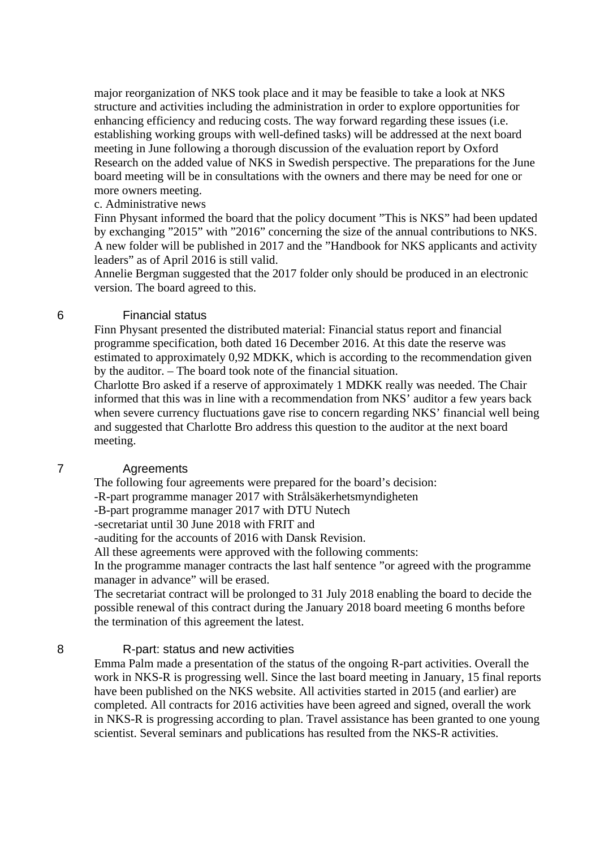major reorganization of NKS took place and it may be feasible to take a look at NKS structure and activities including the administration in order to explore opportunities for enhancing efficiency and reducing costs. The way forward regarding these issues (i.e. establishing working groups with well-defined tasks) will be addressed at the next board meeting in June following a thorough discussion of the evaluation report by Oxford Research on the added value of NKS in Swedish perspective. The preparations for the June board meeting will be in consultations with the owners and there may be need for one or more owners meeting.

#### c. Administrative news

Finn Physant informed the board that the policy document "This is NKS" had been updated by exchanging "2015" with "2016" concerning the size of the annual contributions to NKS. A new folder will be published in 2017 and the "Handbook for NKS applicants and activity leaders" as of April 2016 is still valid.

Annelie Bergman suggested that the 2017 folder only should be produced in an electronic version. The board agreed to this.

#### 6 Financial status

Finn Physant presented the distributed material: Financial status report and financial programme specification, both dated 16 December 2016. At this date the reserve was estimated to approximately 0,92 MDKK, which is according to the recommendation given by the auditor. – The board took note of the financial situation.

Charlotte Bro asked if a reserve of approximately 1 MDKK really was needed. The Chair informed that this was in line with a recommendation from NKS' auditor a few years back when severe currency fluctuations gave rise to concern regarding NKS' financial well being and suggested that Charlotte Bro address this question to the auditor at the next board meeting.

#### 7 Agreements

The following four agreements were prepared for the board's decision:

-R-part programme manager 2017 with Strålsäkerhetsmyndigheten

-B-part programme manager 2017 with DTU Nutech

-secretariat until 30 June 2018 with FRIT and

-auditing for the accounts of 2016 with Dansk Revision.

All these agreements were approved with the following comments:

In the programme manager contracts the last half sentence "or agreed with the programme manager in advance" will be erased.

The secretariat contract will be prolonged to 31 July 2018 enabling the board to decide the possible renewal of this contract during the January 2018 board meeting 6 months before the termination of this agreement the latest.

#### 8 R-part: status and new activities

Emma Palm made a presentation of the status of the ongoing R-part activities. Overall the work in NKS-R is progressing well. Since the last board meeting in January, 15 final reports have been published on the NKS website. All activities started in 2015 (and earlier) are completed. All contracts for 2016 activities have been agreed and signed, overall the work in NKS-R is progressing according to plan. Travel assistance has been granted to one young scientist. Several seminars and publications has resulted from the NKS-R activities.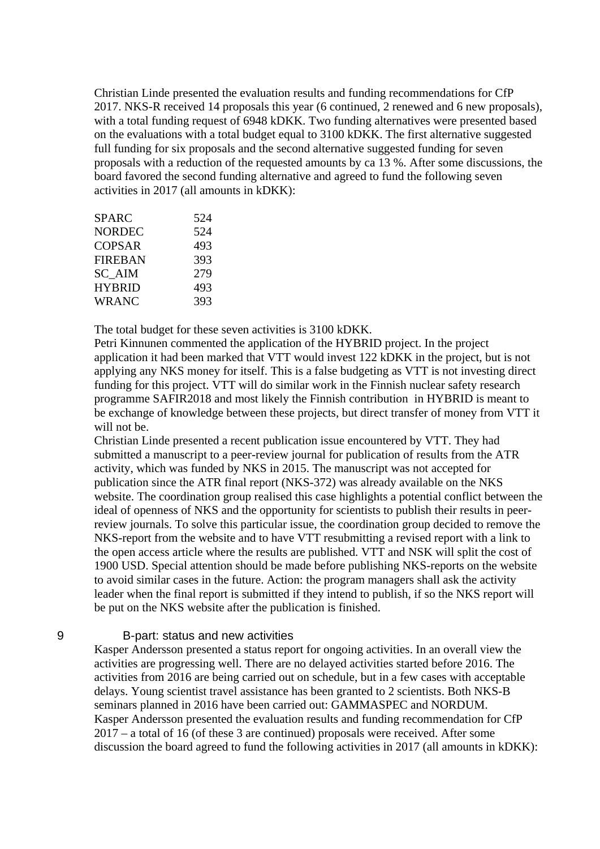Christian Linde presented the evaluation results and funding recommendations for CfP 2017. NKS-R received 14 proposals this year (6 continued, 2 renewed and 6 new proposals), with a total funding request of 6948 kDKK. Two funding alternatives were presented based on the evaluations with a total budget equal to 3100 kDKK. The first alternative suggested full funding for six proposals and the second alternative suggested funding for seven proposals with a reduction of the requested amounts by ca 13 %. After some discussions, the board favored the second funding alternative and agreed to fund the following seven activities in 2017 (all amounts in kDKK):

| <b>SPARC</b>   | 524 |
|----------------|-----|
| <b>NORDEC</b>  | 524 |
| <b>COPSAR</b>  | 493 |
| <b>FIREBAN</b> | 393 |
| SC AIM         | 279 |
| <b>HYBRID</b>  | 493 |
| <b>WRANC</b>   | 393 |

The total budget for these seven activities is 3100 kDKK.

Petri Kinnunen commented the application of the HYBRID project. In the project application it had been marked that VTT would invest 122 kDKK in the project, but is not applying any NKS money for itself. This is a false budgeting as VTT is not investing direct funding for this project. VTT will do similar work in the Finnish nuclear safety research programme SAFIR2018 and most likely the Finnish contribution in HYBRID is meant to be exchange of knowledge between these projects, but direct transfer of money from VTT it will not be.

Christian Linde presented a recent publication issue encountered by VTT. They had submitted a manuscript to a peer-review journal for publication of results from the ATR activity, which was funded by NKS in 2015. The manuscript was not accepted for publication since the ATR final report (NKS-372) was already available on the NKS website. The coordination group realised this case highlights a potential conflict between the ideal of openness of NKS and the opportunity for scientists to publish their results in peerreview journals. To solve this particular issue, the coordination group decided to remove the NKS-report from the website and to have VTT resubmitting a revised report with a link to the open access article where the results are published. VTT and NSK will split the cost of 1900 USD. Special attention should be made before publishing NKS-reports on the website to avoid similar cases in the future. Action: the program managers shall ask the activity leader when the final report is submitted if they intend to publish, if so the NKS report will be put on the NKS website after the publication is finished.

#### 9 B-part: status and new activities

Kasper Andersson presented a status report for ongoing activities. In an overall view the activities are progressing well. There are no delayed activities started before 2016. The activities from 2016 are being carried out on schedule, but in a few cases with acceptable delays. Young scientist travel assistance has been granted to 2 scientists. Both NKS-B seminars planned in 2016 have been carried out: GAMMASPEC and NORDUM. Kasper Andersson presented the evaluation results and funding recommendation for CfP 2017 – a total of 16 (of these 3 are continued) proposals were received. After some discussion the board agreed to fund the following activities in 2017 (all amounts in kDKK):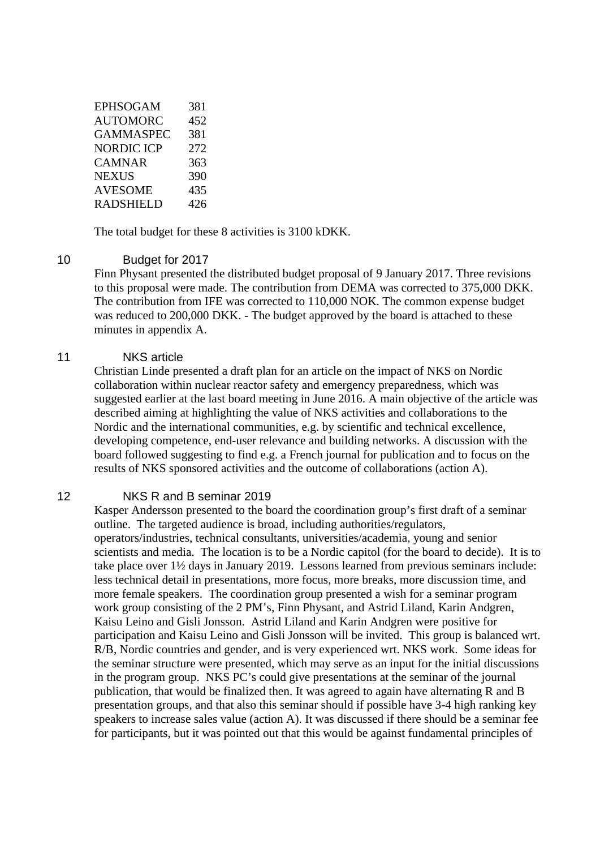| <b>EPHSOGAM</b>  | 381 |
|------------------|-----|
| AUTOMORC         | 452 |
| GAMMASPEC        | 381 |
| NORDIC ICP       | 272 |
| CAMNAR           | 363 |
| <b>NEXUS</b>     | 390 |
| <b>AVESOME</b>   | 435 |
| <b>RADSHIELD</b> | 426 |

The total budget for these 8 activities is 3100 kDKK.

#### 10 Budget for 2017

Finn Physant presented the distributed budget proposal of 9 January 2017. Three revisions to this proposal were made. The contribution from DEMA was corrected to 375,000 DKK. The contribution from IFE was corrected to 110,000 NOK. The common expense budget was reduced to 200,000 DKK. - The budget approved by the board is attached to these minutes in appendix A.

#### 11 NKS article

Christian Linde presented a draft plan for an article on the impact of NKS on Nordic collaboration within nuclear reactor safety and emergency preparedness, which was suggested earlier at the last board meeting in June 2016. A main objective of the article was described aiming at highlighting the value of NKS activities and collaborations to the Nordic and the international communities, e.g. by scientific and technical excellence, developing competence, end-user relevance and building networks. A discussion with the board followed suggesting to find e.g. a French journal for publication and to focus on the results of NKS sponsored activities and the outcome of collaborations (action A).

#### 12 NKS R and B seminar 2019

Kasper Andersson presented to the board the coordination group's first draft of a seminar outline. The targeted audience is broad, including authorities/regulators, operators/industries, technical consultants, universities/academia, young and senior scientists and media. The location is to be a Nordic capitol (for the board to decide). It is to take place over 1½ days in January 2019. Lessons learned from previous seminars include: less technical detail in presentations, more focus, more breaks, more discussion time, and more female speakers. The coordination group presented a wish for a seminar program work group consisting of the 2 PM's, Finn Physant, and Astrid Liland, Karin Andgren, Kaisu Leino and Gisli Jonsson. Astrid Liland and Karin Andgren were positive for participation and Kaisu Leino and Gisli Jonsson will be invited. This group is balanced wrt. R/B, Nordic countries and gender, and is very experienced wrt. NKS work. Some ideas for the seminar structure were presented, which may serve as an input for the initial discussions in the program group. NKS PC's could give presentations at the seminar of the journal publication, that would be finalized then. It was agreed to again have alternating R and B presentation groups, and that also this seminar should if possible have 3-4 high ranking key speakers to increase sales value (action A). It was discussed if there should be a seminar fee for participants, but it was pointed out that this would be against fundamental principles of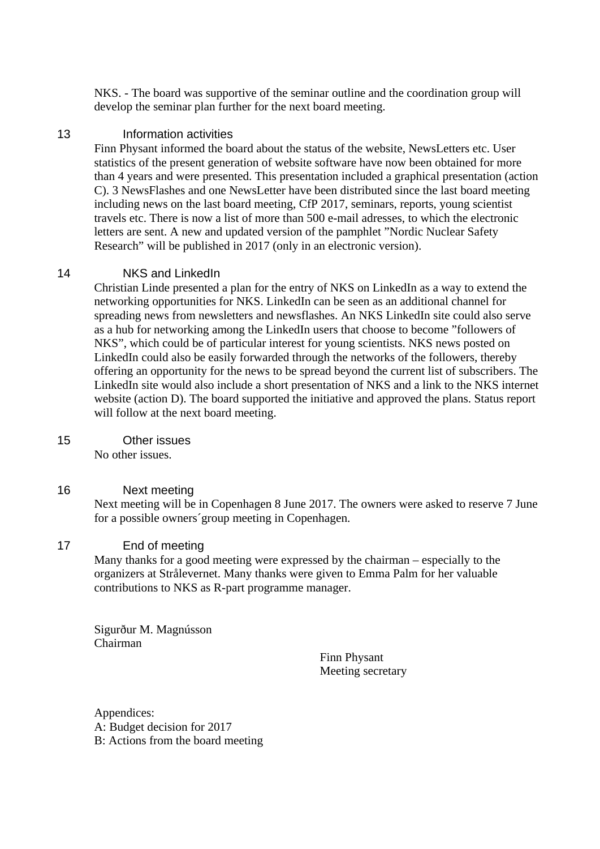NKS. - The board was supportive of the seminar outline and the coordination group will develop the seminar plan further for the next board meeting.

#### 13 Information activities

Finn Physant informed the board about the status of the website, NewsLetters etc. User statistics of the present generation of website software have now been obtained for more than 4 years and were presented. This presentation included a graphical presentation (action C). 3 NewsFlashes and one NewsLetter have been distributed since the last board meeting including news on the last board meeting, CfP 2017, seminars, reports, young scientist travels etc. There is now a list of more than 500 e-mail adresses, to which the electronic letters are sent. A new and updated version of the pamphlet "Nordic Nuclear Safety Research" will be published in 2017 (only in an electronic version).

#### 14 NKS and LinkedIn

Christian Linde presented a plan for the entry of NKS on LinkedIn as a way to extend the networking opportunities for NKS. LinkedIn can be seen as an additional channel for spreading news from newsletters and newsflashes. An NKS LinkedIn site could also serve as a hub for networking among the LinkedIn users that choose to become "followers of NKS", which could be of particular interest for young scientists. NKS news posted on LinkedIn could also be easily forwarded through the networks of the followers, thereby offering an opportunity for the news to be spread beyond the current list of subscribers. The LinkedIn site would also include a short presentation of NKS and a link to the NKS internet website (action D). The board supported the initiative and approved the plans. Status report will follow at the next board meeting.

#### 15 Other issues

No other issues.

#### 16 Next meeting

Next meeting will be in Copenhagen 8 June 2017. The owners were asked to reserve 7 June for a possible owners´group meeting in Copenhagen.

#### 17 End of meeting

Many thanks for a good meeting were expressed by the chairman – especially to the organizers at Strålevernet. Many thanks were given to Emma Palm for her valuable contributions to NKS as R-part programme manager.

Sigurður M. Magnússon Chairman

Finn Physant Meeting secretary

Appendices: A: Budget decision for 2017 B: Actions from the board meeting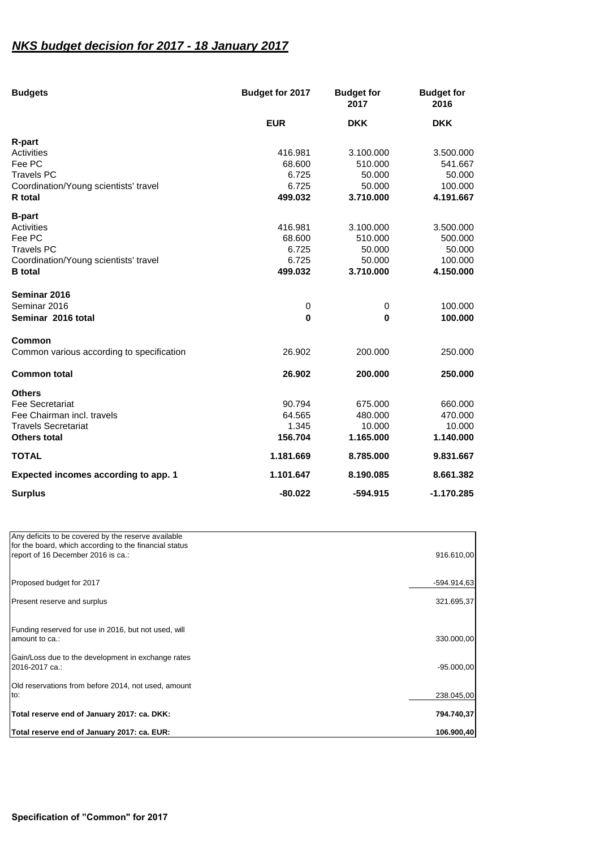### *NKS budget decision for 2017 - 18 January 2017*

| <b>Budgets</b>                            | Budget for 2017 | <b>Budget for</b><br>2017 | <b>Budget for</b><br>2016 |
|-------------------------------------------|-----------------|---------------------------|---------------------------|
|                                           | <b>EUR</b>      | <b>DKK</b>                | <b>DKK</b>                |
| R-part                                    |                 |                           |                           |
| Activities                                | 416.981         | 3.100.000                 | 3.500.000                 |
| Fee PC                                    | 68.600          | 510.000                   | 541.667                   |
| <b>Travels PC</b>                         | 6.725           | 50.000                    | 50.000                    |
| Coordination/Young scientists' travel     | 6.725           | 50.000                    | 100.000                   |
| R total                                   | 499.032         | 3.710.000                 | 4.191.667                 |
| <b>B-part</b>                             |                 |                           |                           |
| Activities                                | 416.981         | 3.100.000                 | 3.500.000                 |
| Fee PC                                    | 68.600          | 510.000                   | 500.000                   |
| <b>Travels PC</b>                         | 6.725           | 50,000                    | 50.000                    |
| Coordination/Young scientists' travel     | 6.725           | 50.000                    | 100.000                   |
| <b>B</b> total                            | 499.032         | 3.710.000                 | 4.150.000                 |
| Seminar 2016                              |                 |                           |                           |
| Seminar 2016                              | 0               | 0                         | 100.000                   |
| Seminar 2016 total                        | $\bf{0}$        | $\bf{0}$                  | 100.000                   |
| Common                                    |                 |                           |                           |
| Common various according to specification | 26.902          | 200.000                   | 250.000                   |
| <b>Common total</b>                       | 26.902          | 200.000                   | 250,000                   |
| <b>Others</b>                             |                 |                           |                           |
| <b>Fee Secretariat</b>                    | 90.794          | 675.000                   | 660,000                   |
| Fee Chairman incl. travels                | 64.565          | 480.000                   | 470.000                   |
| <b>Travels Secretariat</b>                | 1.345           | 10.000                    | 10.000                    |
| Others total                              | 156.704         | 1.165.000                 | 1.140.000                 |
| <b>TOTAL</b>                              | 1.181.669       | 8.785.000                 | 9.831.667                 |
| Expected incomes according to app. 1      | 1.101.647       | 8.190.085                 | 8.661.382                 |
| <b>Surplus</b>                            | $-80.022$       | -594.915                  | $-1.170.285$              |

| Total reserve end of January 2017: ca. EUR:                                                                                                         | 106.900,40    |
|-----------------------------------------------------------------------------------------------------------------------------------------------------|---------------|
| Total reserve end of January 2017: ca. DKK:                                                                                                         | 794.740.37    |
| Old reservations from before 2014, not used, amount<br>to:                                                                                          | 238.045,00    |
| Gain/Loss due to the development in exchange rates<br>2016-2017 ca.:                                                                                | $-95.000,00$  |
| Funding reserved for use in 2016, but not used, will<br>amount to ca.:                                                                              | 330.000,00    |
| Present reserve and surplus                                                                                                                         | 321.695,37    |
| Proposed budget for 2017                                                                                                                            | $-594.914.63$ |
| Any deficits to be covered by the reserve available<br>for the board, which according to the financial status<br>report of 16 December 2016 is ca.: | 916.610,00    |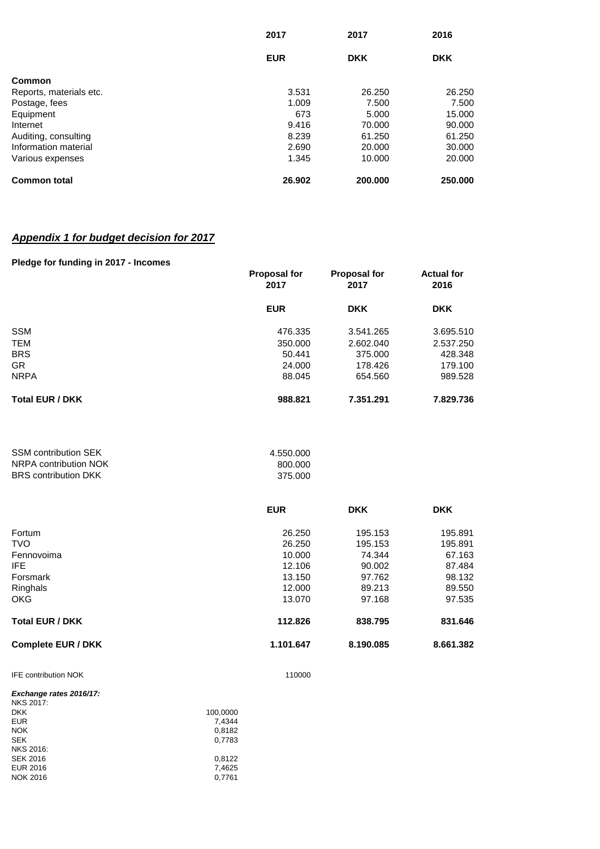|                         | 2017       | 2017       | 2016       |
|-------------------------|------------|------------|------------|
|                         | <b>EUR</b> | <b>DKK</b> | <b>DKK</b> |
| Common                  |            |            |            |
| Reports, materials etc. | 3.531      | 26,250     | 26.250     |
| Postage, fees           | 1.009      | 7.500      | 7.500      |
| Equipment               | 673        | 5.000      | 15.000     |
| Internet                | 9.416      | 70.000     | 90.000     |
| Auditing, consulting    | 8.239      | 61.250     | 61.250     |
| Information material    | 2.690      | 20,000     | 30,000     |
| Various expenses        | 1.345      | 10.000     | 20,000     |
| <b>Common total</b>     | 26.902     | 200,000    | 250,000    |

## *Appendix 1 for budget decision for 2017*

#### **Pledge for funding in 2017 - Incomes**

|                        | <b>Proposal for</b><br>2017 | <b>Proposal for</b><br>2017 | <b>Actual for</b><br>2016 |
|------------------------|-----------------------------|-----------------------------|---------------------------|
|                        | <b>EUR</b>                  | <b>DKK</b>                  | <b>DKK</b>                |
| <b>SSM</b>             | 476.335                     | 3.541.265                   | 3.695.510                 |
| <b>TEM</b>             | 350,000                     | 2.602.040                   | 2.537.250                 |
| <b>BRS</b>             | 50.441                      | 375,000                     | 428.348                   |
| <b>GR</b>              | 24.000                      | 178.426                     | 179.100                   |
| <b>NRPA</b>            | 88.045                      | 654.560                     | 989.528                   |
| <b>Total EUR / DKK</b> | 988.821                     | 7.351.291                   | 7.829.736                 |

| <b>SSM contribution SEK</b> | 4.550.000 |
|-----------------------------|-----------|
| NRPA contribution NOK       | 800.000   |
| <b>BRS</b> contribution DKK | 375.000   |

|                           | <b>EUR</b> | <b>DKK</b> | <b>DKK</b> |
|---------------------------|------------|------------|------------|
| Fortum                    | 26.250     | 195.153    | 195.891    |
| <b>TVO</b>                | 26.250     | 195.153    | 195.891    |
| Fennovoima                | 10.000     | 74.344     | 67.163     |
| IFE.                      | 12.106     | 90.002     | 87.484     |
| Forsmark                  | 13.150     | 97.762     | 98.132     |
| Ringhals                  | 12.000     | 89.213     | 89.550     |
| <b>OKG</b>                | 13.070     | 97.168     | 97.535     |
| <b>Total EUR / DKK</b>    | 112.826    | 838.795    | 831.646    |
| <b>Complete EUR / DKK</b> | 1.101.647  | 8.190.085  | 8.661.382  |

IFE contribution NOK 110000

| Exchange rates 2016/17: |          |
|-------------------------|----------|
| <b>NKS 2017:</b>        |          |
| <b>DKK</b>              | 100.0000 |
| <b>EUR</b>              | 7.4344   |
| <b>NOK</b>              | 0.8182   |
| <b>SEK</b>              | 0,7783   |
| NKS 2016:               |          |
| <b>SEK 2016</b>         | 0.8122   |
| <b>EUR 2016</b>         | 7.4625   |
| <b>NOK 2016</b>         | 0.7761   |
|                         |          |